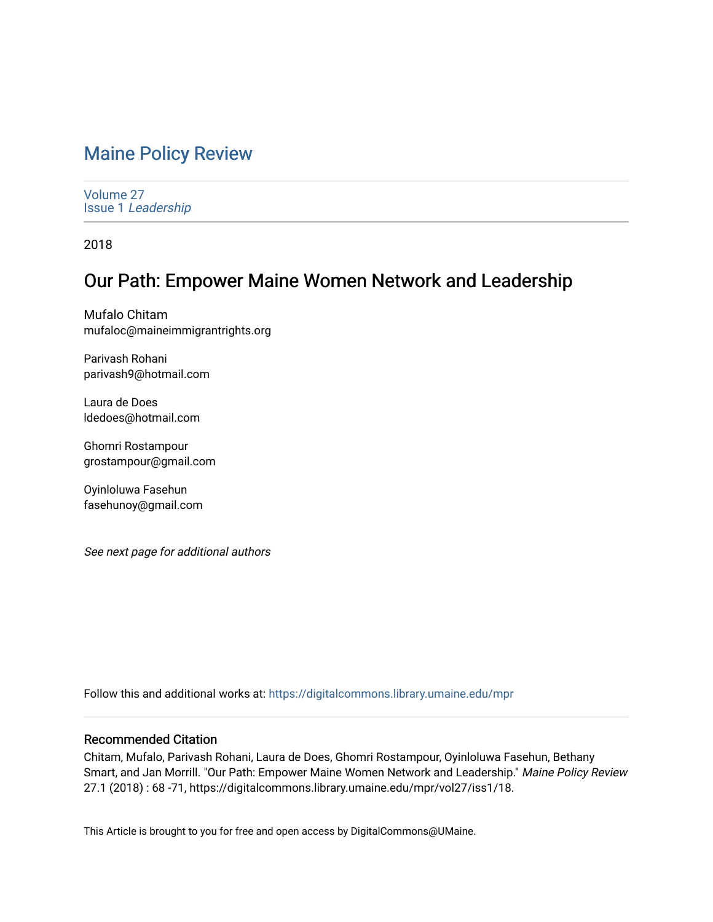# [Maine Policy Review](https://digitalcommons.library.umaine.edu/mpr)

[Volume 27](https://digitalcommons.library.umaine.edu/mpr/vol27) Issue 1 [Leadership](https://digitalcommons.library.umaine.edu/mpr/vol27/iss1) 

2018

# Our Path: Empower Maine Women Network and Leadership

Mufalo Chitam mufaloc@maineimmigrantrights.org

Parivash Rohani parivash9@hotmail.com

Laura de Does ldedoes@hotmail.com

Ghomri Rostampour grostampour@gmail.com

Oyinloluwa Fasehun fasehunoy@gmail.com

See next page for additional authors

Follow this and additional works at: [https://digitalcommons.library.umaine.edu/mpr](https://digitalcommons.library.umaine.edu/mpr?utm_source=digitalcommons.library.umaine.edu%2Fmpr%2Fvol27%2Fiss1%2F18&utm_medium=PDF&utm_campaign=PDFCoverPages)

## Recommended Citation

Chitam, Mufalo, Parivash Rohani, Laura de Does, Ghomri Rostampour, Oyinloluwa Fasehun, Bethany Smart, and Jan Morrill. "Our Path: Empower Maine Women Network and Leadership." Maine Policy Review 27.1 (2018) : 68 -71, https://digitalcommons.library.umaine.edu/mpr/vol27/iss1/18.

This Article is brought to you for free and open access by DigitalCommons@UMaine.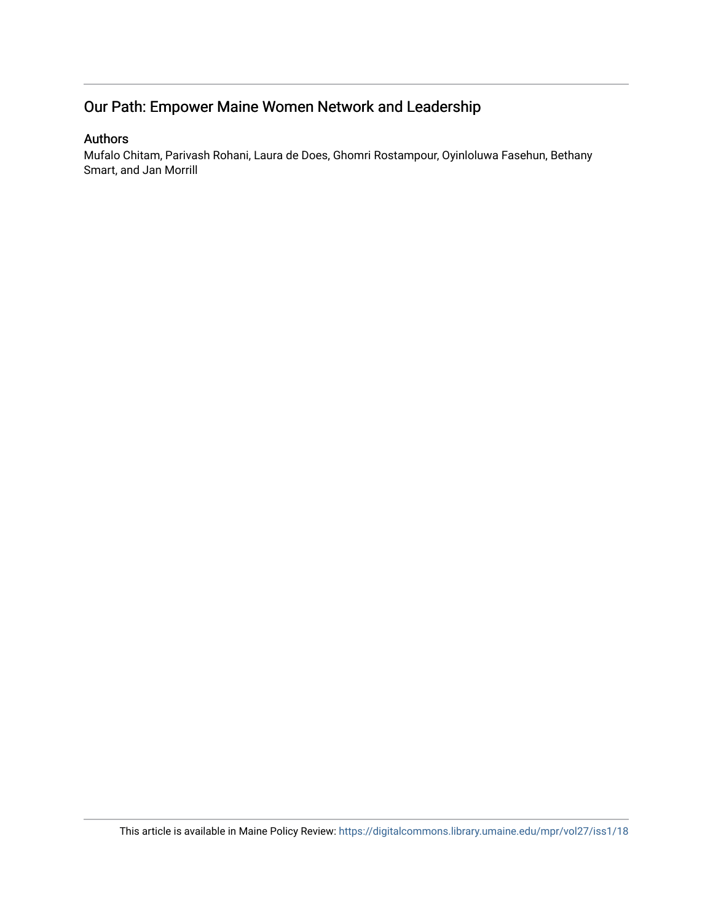# Our Path: Empower Maine Women Network and Leadership

# Authors

Mufalo Chitam, Parivash Rohani, Laura de Does, Ghomri Rostampour, Oyinloluwa Fasehun, Bethany Smart, and Jan Morrill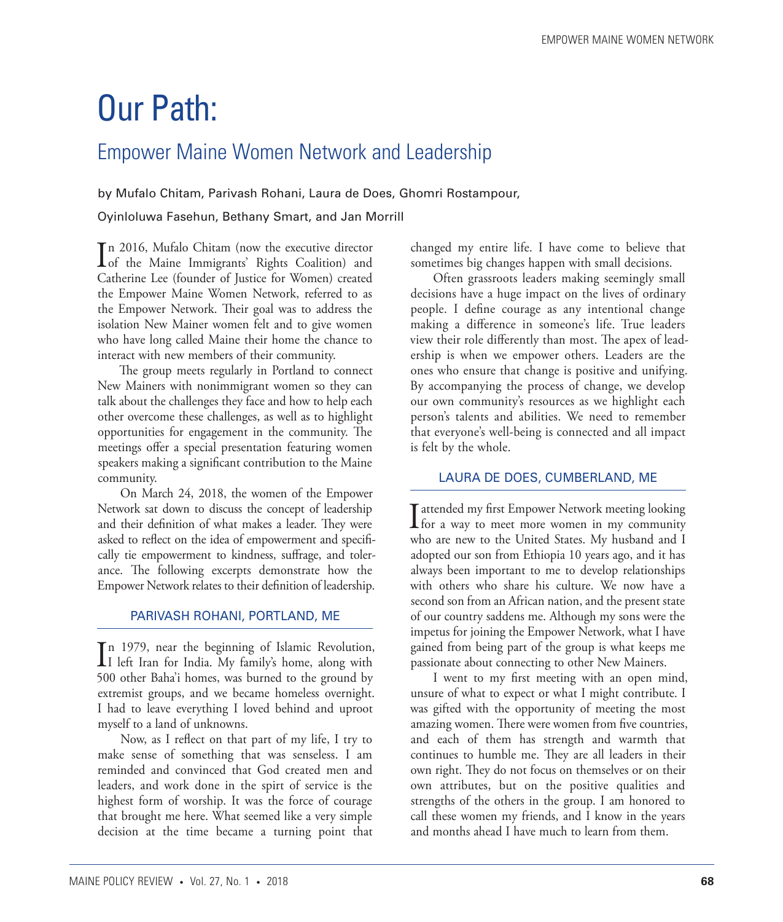# Our Path:

# Empower Maine Women Network and Leadership

by Mufalo Chitam, Parivash Rohani, Laura de Does, Ghomri Rostampour,

Oyinloluwa Fasehun, Bethany Smart, and Jan Morrill

In 2016, Mufalo Chitam (now the executive director<br>of the Maine Immigrants' Rights Coalition) and n 2016, Mufalo Chitam (now the executive director Catherine Lee (founder of Justice for Women) created the Empower Maine Women Network, referred to as the Empower Network. Their goal was to address the isolation New Mainer women felt and to give women who have long called Maine their home the chance to interact with new members of their community.

The group meets regularly in Portland to connect New Mainers with nonimmigrant women so they can talk about the challenges they face and how to help each other overcome these challenges, as well as to highlight opportunities for engagement in the community. The meetings offer a special presentation featuring women speakers making a significant contribution to the Maine community.

On March 24, 2018, the women of the Empower Network sat down to discuss the concept of leadership and their definition of what makes a leader. They were asked to reflect on the idea of empowerment and specifically tie empowerment to kindness, suffrage, and tolerance. The following excerpts demonstrate how the Empower Network relates to their definition of leadership.

### PARIVASH ROHANI, PORTLAND, ME

In 1979, near the beginning of Islamic Revolution,<br>I left Iran for India. My family's home, along with n 1979, near the beginning of Islamic Revolution, 500 other Baha'i homes, was burned to the ground by extremist groups, and we became homeless overnight. I had to leave everything I loved behind and uproot myself to a land of unknowns.

Now, as I reflect on that part of my life, I try to make sense of something that was senseless. I am reminded and convinced that God created men and leaders, and work done in the spirt of service is the highest form of worship. It was the force of courage that brought me here. What seemed like a very simple decision at the time became a turning point that

changed my entire life. I have come to believe that sometimes big changes happen with small decisions.

Often grassroots leaders making seemingly small decisions have a huge impact on the lives of ordinary people. I define courage as any intentional change making a difference in someone's life. True leaders view their role differently than most. The apex of leadership is when we empower others. Leaders are the ones who ensure that change is positive and unifying. By accompanying the process of change, we develop our own community's resources as we highlight each person's talents and abilities. We need to remember that everyone's well-being is connected and all impact is felt by the whole.

## LAURA DE DOES, CUMBERLAND, ME

I attended my first Empower Network meeting looking<br>for a way to meet more women in my community who are new to the United States. My husband and I adopted our son from Ethiopia 10 years ago, and it has always been important to me to develop relationships with others who share his culture. We now have a second son from an African nation, and the present state of our country saddens me. Although my sons were the impetus for joining the Empower Network, what I have gained from being part of the group is what keeps me passionate about connecting to other New Mainers.

I went to my first meeting with an open mind, unsure of what to expect or what I might contribute. I was gifted with the opportunity of meeting the most amazing women. There were women from five countries, and each of them has strength and warmth that continues to humble me. They are all leaders in their own right. They do not focus on themselves or on their own attributes, but on the positive qualities and strengths of the others in the group. I am honored to call these women my friends, and I know in the years and months ahead I have much to learn from them.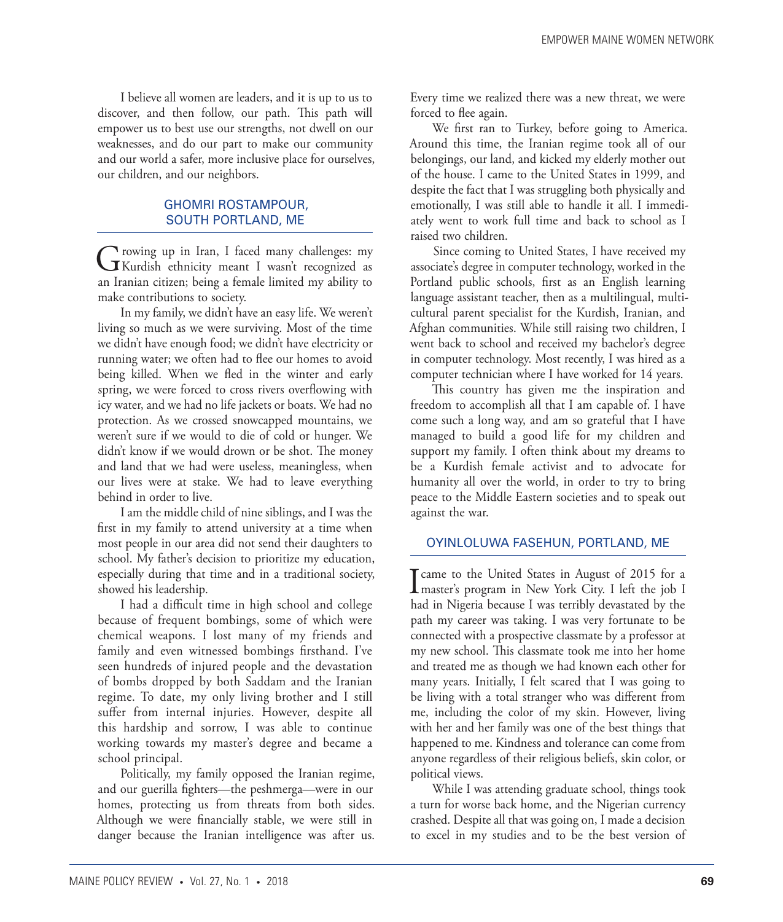I believe all women are leaders, and it is up to us to discover, and then follow, our path. This path will empower us to best use our strengths, not dwell on our weaknesses, and do our part to make our community and our world a safer, more inclusive place for ourselves, our children, and our neighbors.

## GHOMRI ROSTAMPOUR, SOUTH PORTLAND, ME

Growing up in Iran, I faced many challenges: my<br>
Kurdish ethnicity meant I wasn't recognized as an Iranian citizen; being a female limited my ability to make contributions to society.

In my family, we didn't have an easy life. We weren't living so much as we were surviving. Most of the time we didn't have enough food; we didn't have electricity or running water; we often had to flee our homes to avoid being killed. When we fled in the winter and early spring, we were forced to cross rivers overflowing with icy water, and we had no life jackets or boats. We had no protection. As we crossed snowcapped mountains, we weren't sure if we would to die of cold or hunger. We didn't know if we would drown or be shot. The money and land that we had were useless, meaningless, when our lives were at stake. We had to leave everything behind in order to live.

I am the middle child of nine siblings, and I was the first in my family to attend university at a time when most people in our area did not send their daughters to school. My father's decision to prioritize my education, especially during that time and in a traditional society, showed his leadership.

I had a difficult time in high school and college because of frequent bombings, some of which were chemical weapons. I lost many of my friends and family and even witnessed bombings firsthand. I've seen hundreds of injured people and the devastation of bombs dropped by both Saddam and the Iranian regime. To date, my only living brother and I still suffer from internal injuries. However, despite all this hardship and sorrow, I was able to continue working towards my master's degree and became a school principal.

Politically, my family opposed the Iranian regime, and our guerilla fighters—the peshmerga—were in our homes, protecting us from threats from both sides. Although we were financially stable, we were still in danger because the Iranian intelligence was after us.

Every time we realized there was a new threat, we were forced to flee again.

We first ran to Turkey, before going to America. Around this time, the Iranian regime took all of our belongings, our land, and kicked my elderly mother out of the house. I came to the United States in 1999, and despite the fact that I was struggling both physically and emotionally, I was still able to handle it all. I immediately went to work full time and back to school as I raised two children.

Since coming to United States, I have received my associate's degree in computer technology, worked in the Portland public schools, first as an English learning language assistant teacher, then as a multilingual, multicultural parent specialist for the Kurdish, Iranian, and Afghan communities. While still raising two children, I went back to school and received my bachelor's degree in computer technology. Most recently, I was hired as a computer technician where I have worked for 14 years.

This country has given me the inspiration and freedom to accomplish all that I am capable of. I have come such a long way, and am so grateful that I have managed to build a good life for my children and support my family. I often think about my dreams to be a Kurdish female activist and to advocate for humanity all over the world, in order to try to bring peace to the Middle Eastern societies and to speak out against the war.

## OYINLOLUWA FASEHUN, PORTLAND, ME

I came to the United States in August of 2015 for a<br>
master's program in New York City. I left the job I had in Nigeria because I was terribly devastated by the path my career was taking. I was very fortunate to be connected with a prospective classmate by a professor at my new school. This classmate took me into her home and treated me as though we had known each other for many years. Initially, I felt scared that I was going to be living with a total stranger who was different from me, including the color of my skin. However, living with her and her family was one of the best things that happened to me. Kindness and tolerance can come from anyone regardless of their religious beliefs, skin color, or political views.

While I was attending graduate school, things took a turn for worse back home, and the Nigerian currency crashed. Despite all that was going on, I made a decision to excel in my studies and to be the best version of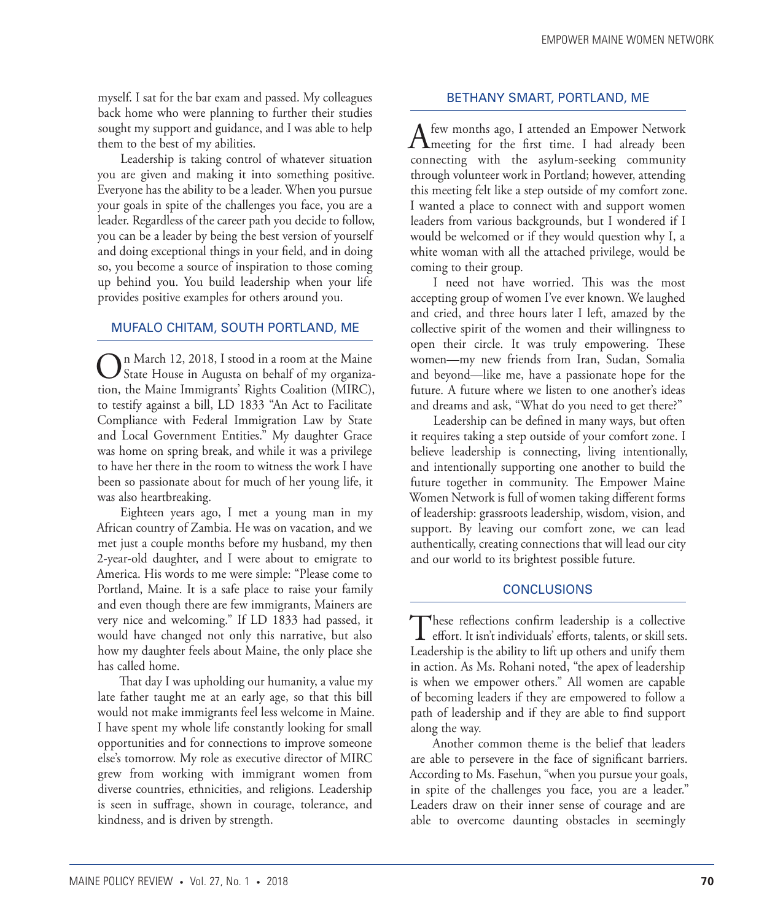myself. I sat for the bar exam and passed. My colleagues back home who were planning to further their studies sought my support and guidance, and I was able to help them to the best of my abilities.

Leadership is taking control of whatever situation you are given and making it into something positive. Everyone has the ability to be a leader. When you pursue your goals in spite of the challenges you face, you are a leader. Regardless of the career path you decide to follow, you can be a leader by being the best version of yourself and doing exceptional things in your field, and in doing so, you become a source of inspiration to those coming up behind you. You build leadership when your life provides positive examples for others around you.

#### MUFALO CHITAM, SOUTH PORTLAND, ME

On March 12, 2018, I stood in a room at the Maine<br>State House in Augusta on behalf of my organization, the Maine Immigrants' Rights Coalition (MIRC), to testify against a bill, LD 1833 "An Act to Facilitate Compliance with Federal Immigration Law by State and Local Government Entities." My daughter Grace was home on spring break, and while it was a privilege to have her there in the room to witness the work I have been so passionate about for much of her young life, it was also heartbreaking.

Eighteen years ago, I met a young man in my African country of Zambia. He was on vacation, and we met just a couple months before my husband, my then 2-year-old daughter, and I were about to emigrate to America. His words to me were simple: "Please come to Portland, Maine. It is a safe place to raise your family and even though there are few immigrants, Mainers are very nice and welcoming." If LD 1833 had passed, it would have changed not only this narrative, but also how my daughter feels about Maine, the only place she has called home.

That day I was upholding our humanity, a value my late father taught me at an early age, so that this bill would not make immigrants feel less welcome in Maine. I have spent my whole life constantly looking for small opportunities and for connections to improve someone else's tomorrow. My role as executive director of MIRC grew from working with immigrant women from diverse countries, ethnicities, and religions. Leadership is seen in suffrage, shown in courage, tolerance, and kindness, and is driven by strength.

#### BETHANY SMART, PORTLAND, ME

A few months ago, I attended an Empower Network **T** meeting for the first time. I had already been connecting with the asylum-seeking community through volunteer work in Portland; however, attending this meeting felt like a step outside of my comfort zone. I wanted a place to connect with and support women leaders from various backgrounds, but I wondered if I would be welcomed or if they would question why I, a white woman with all the attached privilege, would be coming to their group.

I need not have worried. This was the most accepting group of women I've ever known. We laughed and cried, and three hours later I left, amazed by the collective spirit of the women and their willingness to open their circle. It was truly empowering. These women—my new friends from Iran, Sudan, Somalia and beyond—like me, have a passionate hope for the future. A future where we listen to one another's ideas and dreams and ask, "What do you need to get there?"

Leadership can be defined in many ways, but often it requires taking a step outside of your comfort zone. I believe leadership is connecting, living intentionally, and intentionally supporting one another to build the future together in community. The Empower Maine Women Network is full of women taking different forms of leadership: grassroots leadership, wisdom, vision, and support. By leaving our comfort zone, we can lead authentically, creating connections that will lead our city and our world to its brightest possible future.

#### **CONCLUSIONS**

These reflections confirm leadership is a collective<br>effort. It isn't individuals' efforts, talents, or skill sets. Leadership is the ability to lift up others and unify them in action. As Ms. Rohani noted, "the apex of leadership is when we empower others." All women are capable of becoming leaders if they are empowered to follow a path of leadership and if they are able to find support along the way.

Another common theme is the belief that leaders are able to persevere in the face of significant barriers. According to Ms. Fasehun, "when you pursue your goals, in spite of the challenges you face, you are a leader." Leaders draw on their inner sense of courage and are able to overcome daunting obstacles in seemingly